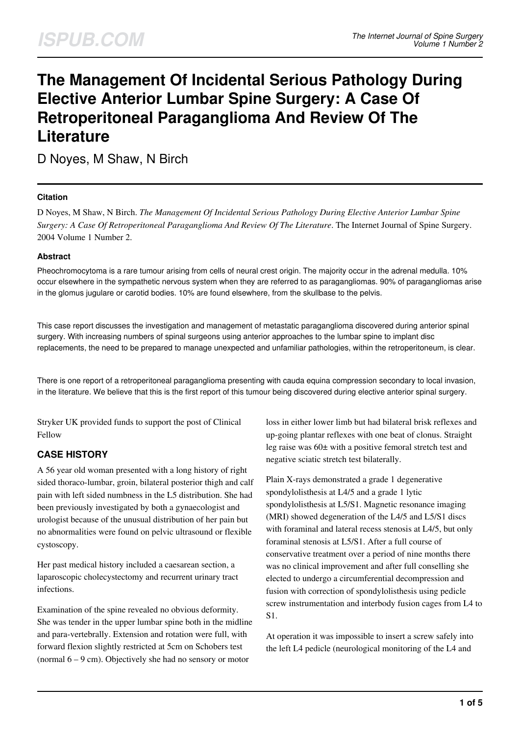# **The Management Of Incidental Serious Pathology During Elective Anterior Lumbar Spine Surgery: A Case Of Retroperitoneal Paraganglioma And Review Of The Literature**

D Noyes, M Shaw, N Birch

#### **Citation**

D Noyes, M Shaw, N Birch. *The Management Of Incidental Serious Pathology During Elective Anterior Lumbar Spine Surgery: A Case Of Retroperitoneal Paraganglioma And Review Of The Literature*. The Internet Journal of Spine Surgery. 2004 Volume 1 Number 2.

#### **Abstract**

Pheochromocytoma is a rare tumour arising from cells of neural crest origin. The majority occur in the adrenal medulla. 10% occur elsewhere in the sympathetic nervous system when they are referred to as paragangliomas. 90% of paragangliomas arise in the glomus jugulare or carotid bodies. 10% are found elsewhere, from the skullbase to the pelvis.

This case report discusses the investigation and management of metastatic paraganglioma discovered during anterior spinal surgery. With increasing numbers of spinal surgeons using anterior approaches to the lumbar spine to implant disc replacements, the need to be prepared to manage unexpected and unfamiliar pathologies, within the retroperitoneum, is clear.

There is one report of a retroperitoneal paraganglioma presenting with cauda equina compression secondary to local invasion, in the literature. We believe that this is the first report of this tumour being discovered during elective anterior spinal surgery.

Stryker UK provided funds to support the post of Clinical Fellow

## **CASE HISTORY**

A 56 year old woman presented with a long history of right sided thoraco-lumbar, groin, bilateral posterior thigh and calf pain with left sided numbness in the L5 distribution. She had been previously investigated by both a gynaecologist and urologist because of the unusual distribution of her pain but no abnormalities were found on pelvic ultrasound or flexible cystoscopy.

Her past medical history included a caesarean section, a laparoscopic cholecystectomy and recurrent urinary tract infections.

Examination of the spine revealed no obvious deformity. She was tender in the upper lumbar spine both in the midline and para-vertebrally. Extension and rotation were full, with forward flexion slightly restricted at 5cm on Schobers test (normal 6 – 9 cm). Objectively she had no sensory or motor

loss in either lower limb but had bilateral brisk reflexes and up-going plantar reflexes with one beat of clonus. Straight leg raise was 60± with a positive femoral stretch test and negative sciatic stretch test bilaterally.

Plain X-rays demonstrated a grade 1 degenerative spondylolisthesis at L4/5 and a grade 1 lytic spondylolisthesis at L5/S1. Magnetic resonance imaging (MRI) showed degeneration of the L4/5 and L5/S1 discs with foraminal and lateral recess stenosis at L4/5, but only foraminal stenosis at L5/S1. After a full course of conservative treatment over a period of nine months there was no clinical improvement and after full conselling she elected to undergo a circumferential decompression and fusion with correction of spondylolisthesis using pedicle screw instrumentation and interbody fusion cages from L4 to S1.

At operation it was impossible to insert a screw safely into the left L4 pedicle (neurological monitoring of the L4 and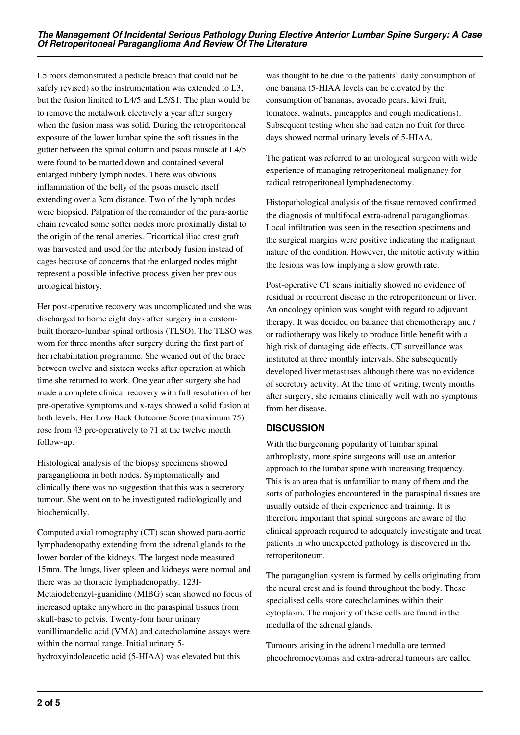L5 roots demonstrated a pedicle breach that could not be safely revised) so the instrumentation was extended to L3, but the fusion limited to L4/5 and L5/S1. The plan would be to remove the metalwork electively a year after surgery when the fusion mass was solid. During the retroperitoneal exposure of the lower lumbar spine the soft tissues in the gutter between the spinal column and psoas muscle at L4/5 were found to be matted down and contained several enlarged rubbery lymph nodes. There was obvious inflammation of the belly of the psoas muscle itself extending over a 3cm distance. Two of the lymph nodes were biopsied. Palpation of the remainder of the para-aortic chain revealed some softer nodes more proximally distal to the origin of the renal arteries. Tricortical iliac crest graft was harvested and used for the interbody fusion instead of cages because of concerns that the enlarged nodes might represent a possible infective process given her previous urological history.

Her post-operative recovery was uncomplicated and she was discharged to home eight days after surgery in a custombuilt thoraco-lumbar spinal orthosis (TLSO). The TLSO was worn for three months after surgery during the first part of her rehabilitation programme. She weaned out of the brace between twelve and sixteen weeks after operation at which time she returned to work. One year after surgery she had made a complete clinical recovery with full resolution of her pre-operative symptoms and x-rays showed a solid fusion at both levels. Her Low Back Outcome Score (maximum 75) rose from 43 pre-operatively to 71 at the twelve month follow-up.

Histological analysis of the biopsy specimens showed paraganglioma in both nodes. Symptomatically and clinically there was no suggestion that this was a secretory tumour. She went on to be investigated radiologically and biochemically.

Computed axial tomography (CT) scan showed para-aortic lymphadenopathy extending from the adrenal glands to the lower border of the kidneys. The largest node measured 15mm. The lungs, liver spleen and kidneys were normal and there was no thoracic lymphadenopathy. 123I-Metaiodebenzyl-guanidine (MIBG) scan showed no focus of increased uptake anywhere in the paraspinal tissues from skull-base to pelvis. Twenty-four hour urinary vanillimandelic acid (VMA) and catecholamine assays were within the normal range. Initial urinary 5 hydroxyindoleacetic acid (5-HIAA) was elevated but this

was thought to be due to the patients' daily consumption of one banana (5-HIAA levels can be elevated by the consumption of bananas, avocado pears, kiwi fruit, tomatoes, walnuts, pineapples and cough medications). Subsequent testing when she had eaten no fruit for three days showed normal urinary levels of 5-HIAA.

The patient was referred to an urological surgeon with wide experience of managing retroperitoneal malignancy for radical retroperitoneal lymphadenectomy.

Histopathological analysis of the tissue removed confirmed the diagnosis of multifocal extra-adrenal paragangliomas. Local infiltration was seen in the resection specimens and the surgical margins were positive indicating the malignant nature of the condition. However, the mitotic activity within the lesions was low implying a slow growth rate.

Post-operative CT scans initially showed no evidence of residual or recurrent disease in the retroperitoneum or liver. An oncology opinion was sought with regard to adjuvant therapy. It was decided on balance that chemotherapy and / or radiotherapy was likely to produce little benefit with a high risk of damaging side effects. CT surveillance was instituted at three monthly intervals. She subsequently developed liver metastases although there was no evidence of secretory activity. At the time of writing, twenty months after surgery, she remains clinically well with no symptoms from her disease.

## **DISCUSSION**

With the burgeoning popularity of lumbar spinal arthroplasty, more spine surgeons will use an anterior approach to the lumbar spine with increasing frequency. This is an area that is unfamiliar to many of them and the sorts of pathologies encountered in the paraspinal tissues are usually outside of their experience and training. It is therefore important that spinal surgeons are aware of the clinical approach required to adequately investigate and treat patients in who unexpected pathology is discovered in the retroperitoneum.

The paraganglion system is formed by cells originating from the neural crest and is found throughout the body. These specialised cells store catecholamines within their cytoplasm. The majority of these cells are found in the medulla of the adrenal glands.

Tumours arising in the adrenal medulla are termed pheochromocytomas and extra-adrenal tumours are called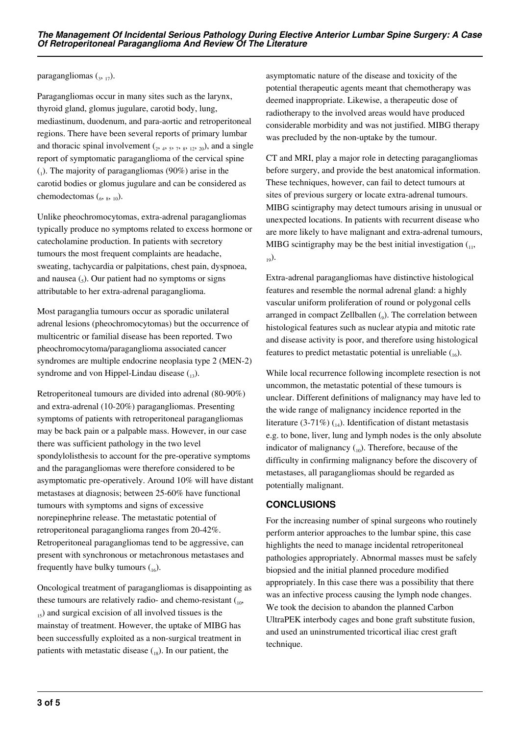paragangliomas  $\binom{3}{3, 17}$ .

Paragangliomas occur in many sites such as the larynx, thyroid gland, glomus jugulare, carotid body, lung, mediastinum, duodenum, and para-aortic and retroperitoneal regions. There have been several reports of primary lumbar and thoracic spinal involvement  $(2, 4, 5, 7, 8, 12, 20)$ , and a single report of symptomatic paraganglioma of the cervical spine  $_{(1)}$ ). The majority of paragangliomas (90%) arise in the carotid bodies or glomus jugulare and can be considered as chemodectomas  $\binom{6}{6}$ ,  $\binom{8}{10}$ .

Unlike pheochromocytomas, extra-adrenal paragangliomas typically produce no symptoms related to excess hormone or catecholamine production. In patients with secretory tumours the most frequent complaints are headache, sweating, tachycardia or palpitations, chest pain, dyspnoea, and nausea  $\left($ <sub>s</sub> $\right)$ . Our patient had no symptoms or signs attributable to her extra-adrenal paraganglioma.

Most paraganglia tumours occur as sporadic unilateral adrenal lesions (pheochromocytomas) but the occurrence of multicentric or familial disease has been reported. Two pheochromocytoma/paraganglioma associated cancer syndromes are multiple endocrine neoplasia type 2 (MEN-2) syndrome and von Hippel-Lindau disease  $_{13}$ ).

Retroperitoneal tumours are divided into adrenal (80-90%) and extra-adrenal (10-20%) paragangliomas. Presenting symptoms of patients with retroperitoneal paragangliomas may be back pain or a palpable mass. However, in our case there was sufficient pathology in the two level spondylolisthesis to account for the pre-operative symptoms and the paragangliomas were therefore considered to be asymptomatic pre-operatively. Around 10% will have distant metastases at diagnosis; between 25-60% have functional tumours with symptoms and signs of excessive norepinephrine release. The metastatic potential of retroperitoneal paraganglioma ranges from 20-42%. Retroperitoneal paragangliomas tend to be aggressive, can present with synchronous or metachronous metastases and frequently have bulky tumours  $\binom{16}{16}$ .

Oncological treatment of paragangliomas is disappointing as these tumours are relatively radio- and chemo-resistant  $\binom{10}{10}$  $_{15}$ ) and surgical excision of all involved tissues is the mainstay of treatment. However, the uptake of MIBG has been successfully exploited as a non-surgical treatment in patients with metastatic disease  $\binom{18}{18}$ . In our patient, the

asymptomatic nature of the disease and toxicity of the potential therapeutic agents meant that chemotherapy was deemed inappropriate. Likewise, a therapeutic dose of radiotherapy to the involved areas would have produced considerable morbidity and was not justified. MIBG therapy was precluded by the non-uptake by the tumour.

CT and MRI, play a major role in detecting paragangliomas before surgery, and provide the best anatomical information. These techniques, however, can fail to detect tumours at sites of previous surgery or locate extra-adrenal tumours. MIBG scintigraphy may detect tumours arising in unusual or unexpected locations. In patients with recurrent disease who are more likely to have malignant and extra-adrenal tumours, MIBG scintigraphy may be the best initial investigation  $(1, 1, 1)$  $_{19}$ ).

Extra-adrenal paragangliomas have distinctive histological features and resemble the normal adrenal gland: a highly vascular uniform proliferation of round or polygonal cells arranged in compact Zellballen  $(_{9})$ . The correlation between histological features such as nuclear atypia and mitotic rate and disease activity is poor, and therefore using histological features to predict metastatic potential is unreliable  $_{16}$ ).

While local recurrence following incomplete resection is not uncommon, the metastatic potential of these tumours is unclear. Different definitions of malignancy may have led to the wide range of malignancy incidence reported in the literature (3-71%)  $_{14}$ ). Identification of distant metastasis e.g. to bone, liver, lung and lymph nodes is the only absolute indicator of malignancy  $\binom{10}{10}$ . Therefore, because of the difficulty in confirming malignancy before the discovery of metastases, all paragangliomas should be regarded as potentially malignant.

## **CONCLUSIONS**

For the increasing number of spinal surgeons who routinely perform anterior approaches to the lumbar spine, this case highlights the need to manage incidental retroperitoneal pathologies appropriately. Abnormal masses must be safely biopsied and the initial planned procedure modified appropriately. In this case there was a possibility that there was an infective process causing the lymph node changes. We took the decision to abandon the planned Carbon UltraPEK interbody cages and bone graft substitute fusion, and used an uninstrumented tricortical iliac crest graft technique.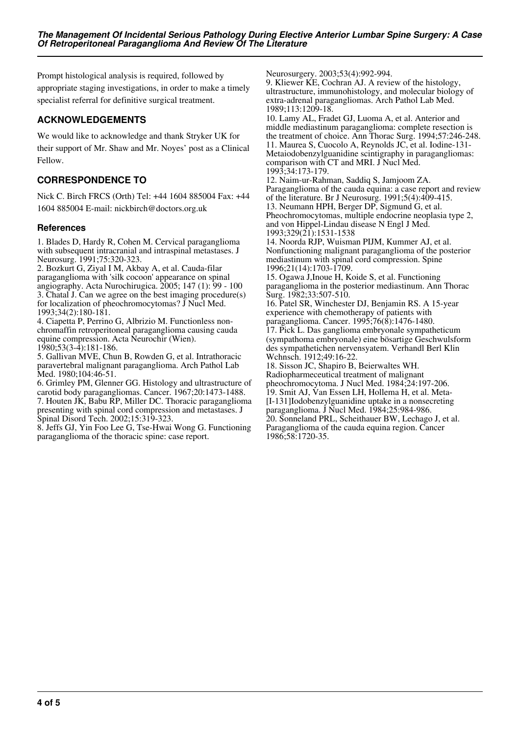Prompt histological analysis is required, followed by appropriate staging investigations, in order to make a timely specialist referral for definitive surgical treatment.

### **ACKNOWLEDGEMENTS**

We would like to acknowledge and thank Stryker UK for their support of Mr. Shaw and Mr. Noyes' post as a Clinical Fellow.

## **CORRESPONDENCE TO**

Nick C. Birch FRCS (Orth) Tel: +44 1604 885004 Fax: +44 1604 885004 E-mail: nickbirch@doctors.org.uk

#### **References**

1. Blades D, Hardy R, Cohen M. Cervical paraganglioma with subsequent intracranial and intraspinal metastases. J Neurosurg. 1991;75:320-323.

2. Bozkurt G, Ziyal I M, Akbay A, et al. Cauda-filar paraganglioma with 'silk cocoon' appearance on spinal angiography. Acta Nurochirugica. 2005; 147 (1): 99 - 100 3. Chatal J. Can we agree on the best imaging procedure(s) for localization of pheochromocytomas? J Nucl Med. 1993;34(2):180-181.

4. Ciapetta P, Perrino G, Albrizio M. Functionless nonchromaffin retroperitoneal paraganglioma causing cauda equine compression. Acta Neurochir (Wien). 1980;53(3-4):181-186.

5. Gallivan MVE, Chun B, Rowden G, et al. Intrathoracic paravertebral malignant paraganglioma. Arch Pathol Lab Med. 1980;104:46-51.

6. Grimley PM, Glenner GG. Histology and ultrastructure of carotid body paragangliomas. Cancer. 1967;20:1473-1488. 7. Houten JK, Babu RP, Miller DC. Thoracic paraganglioma presenting with spinal cord compression and metastases. J Spinal Disord Tech. 2002;15:319-323.

8. Jeffs GJ, Yin Foo Lee G, Tse-Hwai Wong G. Functioning paraganglioma of the thoracic spine: case report.

Neurosurgery. 2003;53(4):992-994.

9. Kliewer KE, Cochran AJ. A review of the histology, ultrastructure, immunohistology, and molecular biology of extra-adrenal paragangliomas. Arch Pathol Lab Med. 1989;113:1209-18.

10. Lamy AL, Fradet GJ, Luoma A, et al. Anterior and middle mediastinum paraganglioma: complete resection is the treatment of choice. Ann Thorac Surg. 1994;57:246-248. 11. Maurea S, Cuocolo A, Reynolds JC, et al. Iodine-131- Metaiodobenzylguanidine scintigraphy in paragangliomas: comparison with CT and MRI. J Nucl Med. 1993;34:173-179.

12. Naim-ur-Rahman, Saddiq S, Jamjoom ZA. Paraganglioma of the cauda equina: a case report and review of the literature. Br J Neurosurg. 1991;5(4):409-415. 13. Neumann HPH, Berger DP, Sigmund G, et al. Pheochromocytomas, multiple endocrine neoplasia type 2, and von Hippel-Lindau disease N Engl J Med. 1993;329(21):1531-1538

14. Noorda RJP, Wuisman PIJM, Kummer AJ, et al. Nonfunctioning malignant paraganglioma of the posterior mediastinum with spinal cord compression. Spine 1996;21(14):1703-1709.

15. Ogawa J,Inoue H, Koide S, et al. Functioning paraganglioma in the posterior mediastinum. Ann Thorac Surg. 1982;33:507-510.

16. Patel SR, Winchester DJ, Benjamin RS. A 15-year experience with chemotherapy of patients with paraganglioma. Cancer. 1995;76(8):1476-1480. 17. Pick L. Das ganglioma embryonale sympatheticum (sympathoma embryonale) eine bösartige Geschwulsform des sympathetichen nervensyatem. Verhandl Berl Klin Wchnsch. 1912;49:16-22.

18. Sisson JC, Shapiro B, Beierwaltes WH. Radiopharmeceutical treatment of malignant pheochromocytoma. J Nucl Med. 1984;24:197-206. 19. Smit AJ, Van Essen LH, Hollema H, et al. Meta- [I-131]Iodobenzylguanidine uptake in a nonsecreting paraganglioma. J Nucl Med. 1984;25:984-986. 20. Sonneland PRL, Scheithauer BW, Lechago J, et al. Paraganglioma of the cauda equina region. Cancer 1986;58:1720-35.